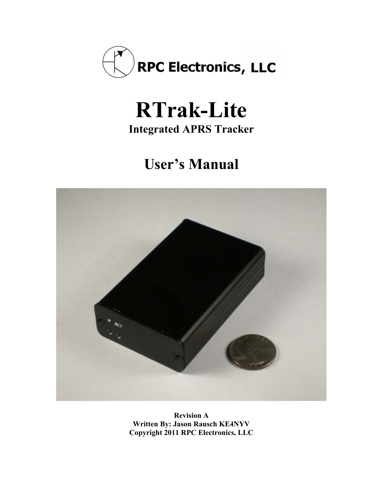

# **RTrak-Lite**

**Integrated APRS Tracker** 

## **User's Manual**



**Revision A Written By: Jason Rausch KE4NYV Copyright 2011 RPC Electronics, LLC**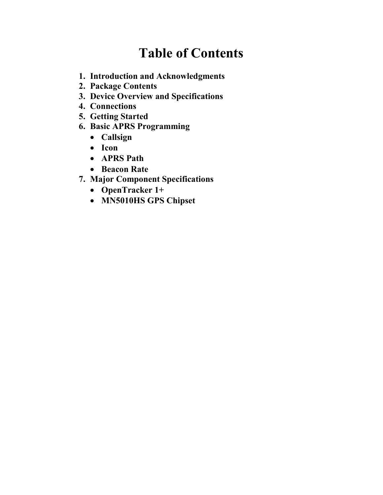### **Table of Contents**

- **1. Introduction and Acknowledgments**
- **2. Package Contents**
- **3. Device Overview and Specifications**
- **4. Connections**
- **5. Getting Started**
- **6. Basic APRS Programming** 
	- **Callsign**
	- **Icon**
	- **APRS Path**
	- **Beacon Rate**
- **7. Major Component Specifications** 
	- **OpenTracker 1+**
	- **M%5010HS GPS Chipset**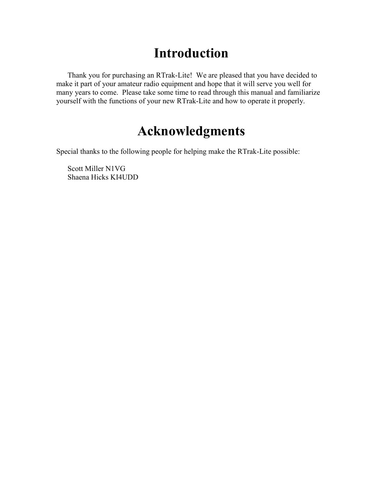### **Introduction**

Thank you for purchasing an RTrak-Lite! We are pleased that you have decided to make it part of your amateur radio equipment and hope that it will serve you well for many years to come. Please take some time to read through this manual and familiarize yourself with the functions of your new RTrak-Lite and how to operate it properly.

### **Acknowledgments**

Special thanks to the following people for helping make the RTrak-Lite possible:

Scott Miller N1VG Shaena Hicks KI4UDD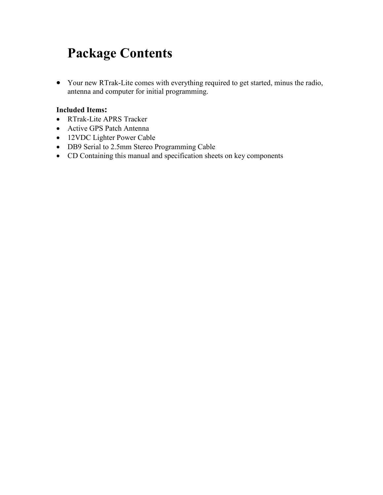### **Package Contents**

• Your new RTrak-Lite comes with everything required to get started, minus the radio, antenna and computer for initial programming.

#### **Included Items:**

- RTrak-Lite APRS Tracker
- Active GPS Patch Antenna
- 12VDC Lighter Power Cable
- DB9 Serial to 2.5mm Stereo Programming Cable
- CD Containing this manual and specification sheets on key components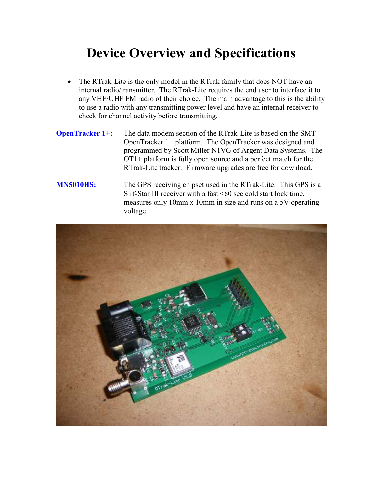### **Device Overview and Specifications**

- The RTrak-Lite is the only model in the RTrak family that does NOT have an internal radio/transmitter. The RTrak-Lite requires the end user to interface it to any VHF/UHF FM radio of their choice. The main advantage to this is the ability to use a radio with any transmitting power level and have an internal receiver to check for channel activity before transmitting.
- **OpenTracker 1+:** The data modem section of the RTrak-Lite is based on the SMT OpenTracker 1+ platform. The OpenTracker was designed and programmed by Scott Miller N1VG of Argent Data Systems. The OT1+ platform is fully open source and a perfect match for the RTrak-Lite tracker. Firmware upgrades are free for download.

#### **M%5010HS:** The GPS receiving chipset used in the RTrak-Lite. This GPS is a Sirf-Star III receiver with a fast <60 sec cold start lock time, measures only 10mm x 10mm in size and runs on a 5V operating voltage.

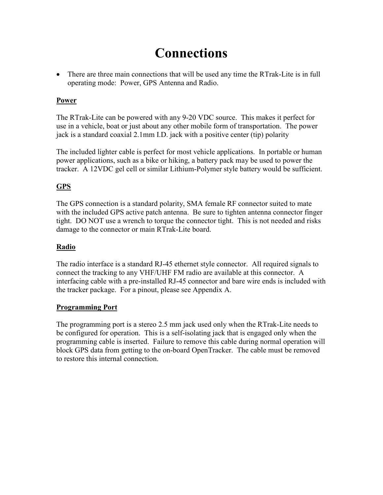### **Connections**

• There are three main connections that will be used any time the RTrak-Lite is in full operating mode: Power, GPS Antenna and Radio.

#### **Power**

The RTrak-Lite can be powered with any 9-20 VDC source. This makes it perfect for use in a vehicle, boat or just about any other mobile form of transportation. The power jack is a standard coaxial 2.1mm I.D. jack with a positive center (tip) polarity

The included lighter cable is perfect for most vehicle applications. In portable or human power applications, such as a bike or hiking, a battery pack may be used to power the tracker. A 12VDC gel cell or similar Lithium-Polymer style battery would be sufficient.

#### **GPS**

The GPS connection is a standard polarity, SMA female RF connector suited to mate with the included GPS active patch antenna. Be sure to tighten antenna connector finger tight. DO NOT use a wrench to torque the connector tight. This is not needed and risks damage to the connector or main RTrak-Lite board.

#### **Radio**

The radio interface is a standard RJ-45 ethernet style connector. All required signals to connect the tracking to any VHF/UHF FM radio are available at this connector. A interfacing cable with a pre-installed RJ-45 connector and bare wire ends is included with the tracker package. For a pinout, please see Appendix A.

#### **Programming Port**

The programming port is a stereo 2.5 mm jack used only when the RTrak-Lite needs to be configured for operation. This is a self-isolating jack that is engaged only when the programming cable is inserted. Failure to remove this cable during normal operation will block GPS data from getting to the on-board OpenTracker. The cable must be removed to restore this internal connection.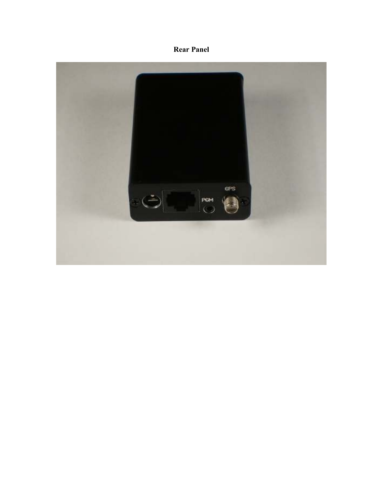#### **Rear Panel**

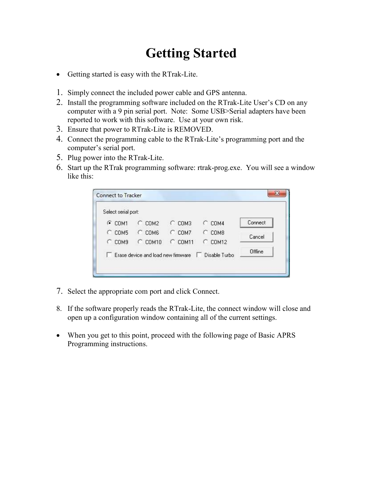### **Getting Started**

- Getting started is easy with the RTrak-Lite.
- 1. Simply connect the included power cable and GPS antenna.
- 2. Install the programming software included on the RTrak-Lite User's CD on any computer with a 9 pin serial port. Note: Some USB>Serial adapters have been reported to work with this software. Use at your own risk.
- 3. Ensure that power to RTrak-Lite is REMOVED.
- 4. Connect the programming cable to the RTrak-Lite's programming port and the computer's serial port.
- 5. Plug power into the RTrak-Lite.
- 6. Start up the RTrak programming software: rtrak-prog.exe. You will see a window like this:

| Select serial port:   |                                    |            |                    |         |
|-----------------------|------------------------------------|------------|--------------------|---------|
| $G$ COM1              | $C$ COM2                           | COM3<br>t. | COM4               | Connect |
| COM5                  | $C$ COM6                           | $C$ COM7   | COM <sub>8</sub>   | Cancel  |
| COM <sub>9</sub><br>c | $C$ COM10                          | $C$ COM11  | COM12<br>o         |         |
|                       | Erase device and load new firmware |            | Disable Turbo<br>ш | Offline |

- 7. Select the appropriate com port and click Connect.
- 8. If the software properly reads the RTrak-Lite, the connect window will close and open up a configuration window containing all of the current settings.
- When you get to this point, proceed with the following page of Basic APRS Programming instructions.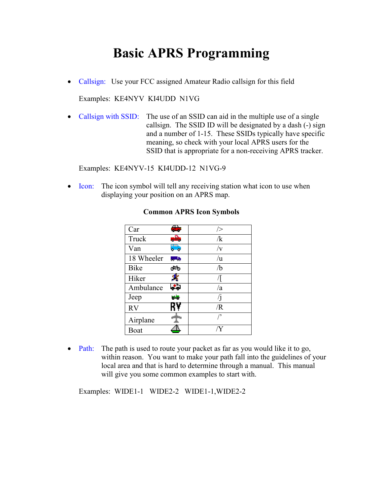### **Basic APRS Programming**

• Callsign: Use your FCC assigned Amateur Radio callsign for this field

Examples: KE4NYV KI4UDD N1VG

• Callsign with SSID: The use of an SSID can aid in the multiple use of a single callsign. The SSID ID will be designated by a dash (-) sign and a number of 1-15. These SSIDs typically have specific meaning, so check with your local APRS users for the SSID that is appropriate for a non-receiving APRS tracker.

Examples: KE4NYV-15 KI4UDD-12 N1VG-9

• Icon: The icon symbol will tell any receiving station what icon to use when displaying your position on an APRS map.

| Car         | 55           | />          |
|-------------|--------------|-------------|
| Truck       | alba         | /k          |
| Van         | e,           | $/\rm{v}$   |
| 18 Wheeler  | <b>Santa</b> | /u          |
| <b>Bike</b> | ರಸ್ತ         | /b          |
| Hiker       |              |             |
| Ambulance   | e.           | /a          |
| Jeep        | الترابط      | $\sqrt{j}$  |
| <b>RV</b>   | RΥ           | /R          |
| Airplane    |              | $^{\prime}$ |
| Boat        |              |             |

#### **Common APRS Icon Symbols**

• Path: The path is used to route your packet as far as you would like it to go, within reason. You want to make your path fall into the guidelines of your local area and that is hard to determine through a manual. This manual will give you some common examples to start with.

Examples: WIDE1-1 WIDE2-2 WIDE1-1,WIDE2-2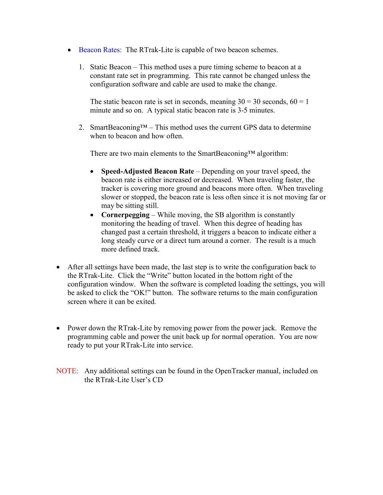- Beacon Rates: The RTrak-Lite is capable of two beacon schemes.
	- 1. Static Beacon This method uses a pure timing scheme to beacon at a constant rate set in programming. This rate cannot be changed unless the configuration software and cable are used to make the change.

The static beacon rate is set in seconds, meaning  $30 = 30$  seconds,  $60 = 1$ minute and so on. A typical static beacon rate is 3-5 minutes.

2. SmartBeaconing<sup>TM</sup> – This method uses the current GPS data to determine when to beacon and how often.

There are two main elements to the SmartBeaconing™ algorithm:

- **Speed-Adjusted Beacon Rate** Depending on your travel speed, the beacon rate is either increased or decreased. When traveling faster, the tracker is covering more ground and beacons more often. When traveling slower or stopped, the beacon rate is less often since it is not moving far or may be sitting still.
- **Cornerpegging** While moving, the SB algorithm is constantly monitoring the heading of travel. When this degree of heading has changed past a certain threshold, it triggers a beacon to indicate either a long steady curve or a direct turn around a corner. The result is a much more defined track.
- After all settings have been made, the last step is to write the configuration back to the RTrak-Lite. Click the "Write" button located in the bottom right of the configuration window. When the software is completed loading the settings, you will be asked to click the "OK!" button. The software returns to the main configuration screen where it can be exited.
- Power down the RTrak-Lite by removing power from the power jack. Remove the programming cable and power the unit back up for normal operation. You are now ready to put your RTrak-Lite into service.
- NOTE: Any additional settings can be found in the OpenTracker manual, included on the RTrak-Lite User's CD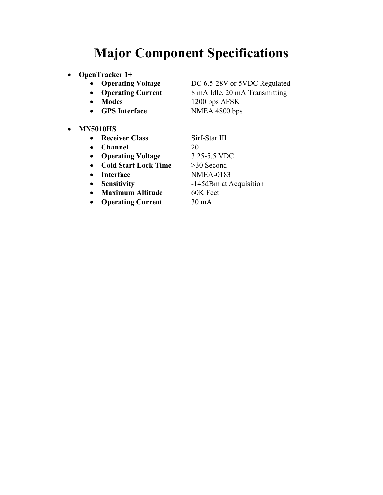### **Major Component Specifications**

- **OpenTracker 1+**<br>• **Operating Voltage** 
	-
	-
	-
	- **GPS Interface** NMEA 4800 bps
- **M%5010HS** 
	- **Receiver Class** Sirf-Star III
	- **Channel** 20
	- **Operating Voltage** 3.25-5.5 VDC
	- **Cold Start Lock Time** >30 Second
	-
	-
	- **Maximum Altitude** 60K Feet
	- **Operating Current** 30 mA

• **Operating Voltage DC 6.5-28V or 5VDC Regulated**<br>• **Operating Current** 8 mA Idle, 20 mA Transmitting • **Operating Current** 8 mA Idle, 20 mA Transmitting • **Modes** 1200 bps AFSK

• **Interface NMEA-0183** • **Sensitivity** -145dBm at Acquisition